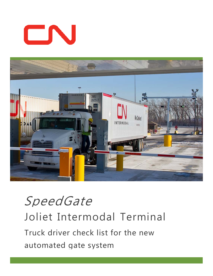# CN



# SpeedGate Joliet Intermodal Terminal Truck driver check list for the new automated gate system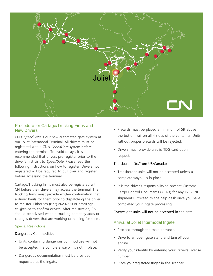

# Procedure for Cartage/Trucking Firms and New Drivers

CN's SpeedGate is our new automated gate system at our Joliet Intermodal Terminal. All drivers must be registered within CN's SpeedGate system before entering the terminal. To avoid delays, it is recommended that drivers pre-register prior to the driver's first visit to SpeedGate. Please read the following instructions on how to register. Drivers not registered will be required to pull over and register before accessing the terminal.

Cartage/Trucking firms must also be registered with CN before their drivers may access the terminal. The trucking firms must provide written confirmation that a driver hauls for them prior to dispatching the driver to register. Either fax (877) 262-6770 or email agschi@cn.ca to confirm drivers. After registration, CN should be advised when a trucking company adds or changes drivers that are working or hauling for them.

#### Special Restrictions

#### Dangerous Commodities

- Units containing dangerous commodities will not be accepted if a complete waybill is not in place.
- Dangerous documentation must be provided if requested at the ingate.
- Placards must be placed a minimum of 5ft above the bottom rail on all 4 sides of the container. Units without proper placards will be rejected.
- **Drivers must provide a valid TDG card upon** request.

#### Transborder (to/from US/Canada)

- Transborder units will not be accepted unless a complete waybill is in place.
- It is the driver's responsibility to present Customs Cargo Control Documents (A8A's) for any IN BOND shipments. Proceed to the help desk once you have completed your ingate processing.

#### Overweight units will not be accepted in the gate.

# Arrival at Joliet Intermodal Ingate

- **Proceed through the main entrance.**
- **Drive to an open gate stand and turn off your** engine.
- Verify your identity by entering your Driver's License number.
- Place your registered finger in the scanner.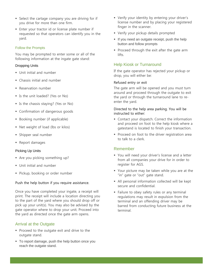- **Select the cartage company you are driving for if** you drive for more than one firm.
- Enter your tractor id or license plate number if requested so that operators can identify you in the yard.

#### Follow the Prompts

You may be prompted to enter some or all of the following information at the ingate gate stand:

#### Dropping Units

- Unit initial and number
- Chassis initial and number
- **Reservation number**
- Is the unit loaded? (Yes or No)
- Is the chassis staying? (Yes or No)
- **Confirmation of dangerous goods**
- Booking number (if applicable)
- Net weight of load (lbs or kilos)
- **Shipper seal number**
- Report damages

#### Picking Up Units

- Are you picking something up?
- Unit initial and number
- **Pickup, booking or order number**

#### Push the help button if you require assistance.

Once you have completed your ingate, a receipt will print. The receipt will include a location directing you to the part of the yard where you should drop off or pick up your unit(s). You may also be advised by the gate operator where to drop your unit. Proceed into the yard as directed once the gate arm opens.

# Arrival at the Outgate

- **Proceed to the outgate exit and drive to the** outgate stand.
- To report damage, push the help button once you reach the outgate stand.
- Verify your identity by entering your driver's license number and by placing your registered finger in the scanner.
- Verify your pickup details prompted
- If you need an outgate receipt, push the help button and follow prompts
- **Proceed through the exit after the gate arm** lifts.

# Help Kiosk or Turnaround

If the gate operator has rejected your pickup or drop, you will either be:

#### Refused entry or exit

The gate arm will be opened and you must turn around and proceed through the outgate to exit the yard or through the turnaround lane to reenter the yard.

#### Directed to the help area parking. You will be instructed to either:

- **Contact your dispatch. Correct the information** and proceed on foot to the help kiosk where a gatestand is located to finish your transaction.
- **Proceed on foot to the driver registration area** to talk to a clerk.

# Remember

- You will need your driver's license and a letter from all companies your drive for in order to register for AGS.
- Your picture may be taken while you are at the "in" gate or "out" gate stand.
- All personal information collected will be kept secure and confidential.
- Failure to obey safety rules or any terminal regulations may result in expulsion from the terminal and an offending driver may be barred from conducting future business at the terminal.